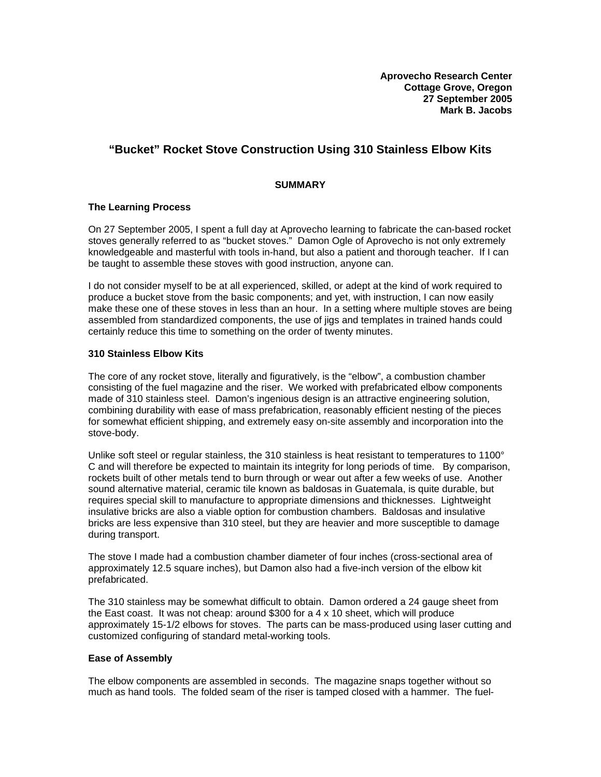# **"Bucket" Rocket Stove Construction Using 310 Stainless Elbow Kits**

# **SUMMARY**

# **The Learning Process**

On 27 September 2005, I spent a full day at Aprovecho learning to fabricate the can-based rocket stoves generally referred to as "bucket stoves." Damon Ogle of Aprovecho is not only extremely knowledgeable and masterful with tools in-hand, but also a patient and thorough teacher. If I can be taught to assemble these stoves with good instruction, anyone can.

I do not consider myself to be at all experienced, skilled, or adept at the kind of work required to produce a bucket stove from the basic components; and yet, with instruction, I can now easily make these one of these stoves in less than an hour. In a setting where multiple stoves are being assembled from standardized components, the use of jigs and templates in trained hands could certainly reduce this time to something on the order of twenty minutes.

### **310 Stainless Elbow Kits**

The core of any rocket stove, literally and figuratively, is the "elbow", a combustion chamber consisting of the fuel magazine and the riser. We worked with prefabricated elbow components made of 310 stainless steel. Damon's ingenious design is an attractive engineering solution, combining durability with ease of mass prefabrication, reasonably efficient nesting of the pieces for somewhat efficient shipping, and extremely easy on-site assembly and incorporation into the stove-body.

Unlike soft steel or regular stainless, the 310 stainless is heat resistant to temperatures to 1100° C and will therefore be expected to maintain its integrity for long periods of time. By comparison, rockets built of other metals tend to burn through or wear out after a few weeks of use. Another sound alternative material, ceramic tile known as baldosas in Guatemala, is quite durable, but requires special skill to manufacture to appropriate dimensions and thicknesses. Lightweight insulative bricks are also a viable option for combustion chambers. Baldosas and insulative bricks are less expensive than 310 steel, but they are heavier and more susceptible to damage during transport.

The stove I made had a combustion chamber diameter of four inches (cross-sectional area of approximately 12.5 square inches), but Damon also had a five-inch version of the elbow kit prefabricated.

The 310 stainless may be somewhat difficult to obtain. Damon ordered a 24 gauge sheet from the East coast. It was not cheap: around \$300 for a 4 x 10 sheet, which will produce approximately 15-1/2 elbows for stoves. The parts can be mass-produced using laser cutting and customized configuring of standard metal-working tools.

### **Ease of Assembly**

The elbow components are assembled in seconds. The magazine snaps together without so much as hand tools. The folded seam of the riser is tamped closed with a hammer. The fuel-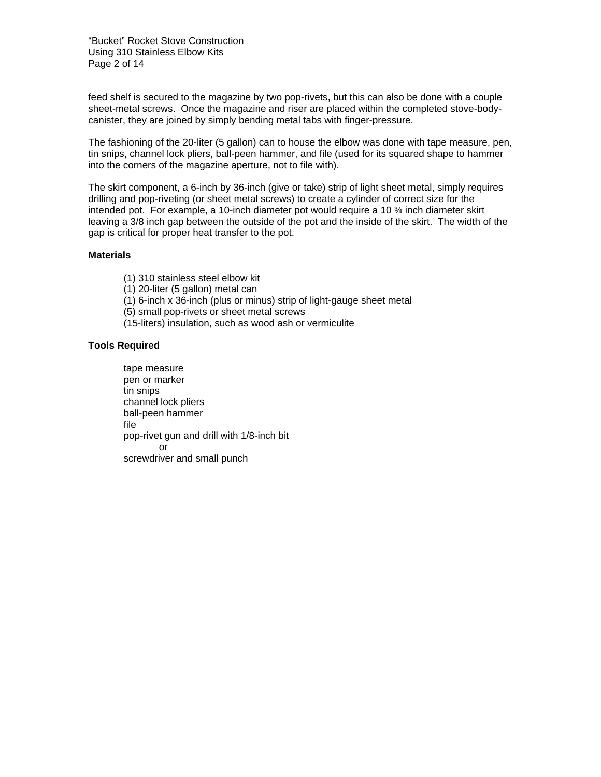"Bucket" Rocket Stove Construction Using 310 Stainless Elbow Kits Page 2 of 14

feed shelf is secured to the magazine by two pop-rivets, but this can also be done with a couple sheet-metal screws. Once the magazine and riser are placed within the completed stove-bodycanister, they are joined by simply bending metal tabs with finger-pressure.

The fashioning of the 20-liter (5 gallon) can to house the elbow was done with tape measure, pen, tin snips, channel lock pliers, ball-peen hammer, and file (used for its squared shape to hammer into the corners of the magazine aperture, not to file with).

The skirt component, a 6-inch by 36-inch (give or take) strip of light sheet metal, simply requires drilling and pop-riveting (or sheet metal screws) to create a cylinder of correct size for the intended pot. For example, a 10-inch diameter pot would require a 10 ¾ inch diameter skirt leaving a 3/8 inch gap between the outside of the pot and the inside of the skirt. The width of the gap is critical for proper heat transfer to the pot.

# **Materials**

- (1) 310 stainless steel elbow kit
- (1) 20-liter (5 gallon) metal can
- (1) 6-inch x 36-inch (plus or minus) strip of light-gauge sheet metal
- (5) small pop-rivets or sheet metal screws
- (15-liters) insulation, such as wood ash or vermiculite

# **Tools Required**

tape measure pen or marker tin snips channel lock pliers ball-peen hammer file pop-rivet gun and drill with 1/8-inch bit or screwdriver and small punch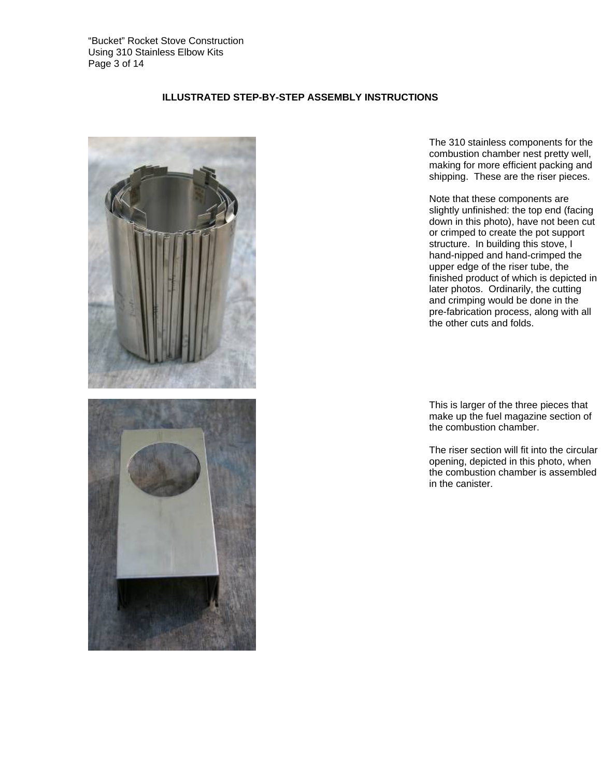

# **ILLUSTRATED STEP-BY-STEP ASSEMBLY INSTRUCTIONS**

 The 310 stainless components for the combustion chamber nest pretty well, making for more efficient packing and shipping. These are the riser pieces.

Note that these components are slightly unfinished: the top end (facing down in this photo), have not been cut or crimped to create the pot support structure. In building this stove, I hand-nipped and hand-crimped the upper edge of the riser tube, the finished product of which is depicted in later photos. Ordinarily, the cutting and crimping would be done in the pre-fabrication process, along with all the other cuts and folds.

 This is larger of the three pieces that make up the fuel magazine section of the combustion chamber.

The riser section will fit into the circular opening, depicted in this photo, when the combustion chamber is assembled in the canister.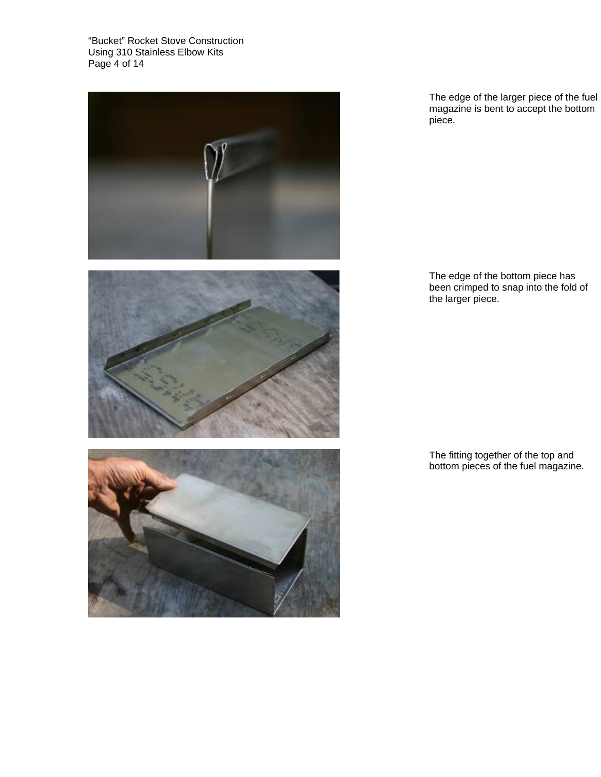"Bucket" Rocket Stove Construction Using 310 Stainless Elbow Kits Page 4 of 14







 The edge of the larger piece of the fuel magazine is bent to accept the bottom piece.

 The edge of the bottom piece has been crimped to snap into the fold of the larger piece.

 The fitting together of the top and bottom pieces of the fuel magazine.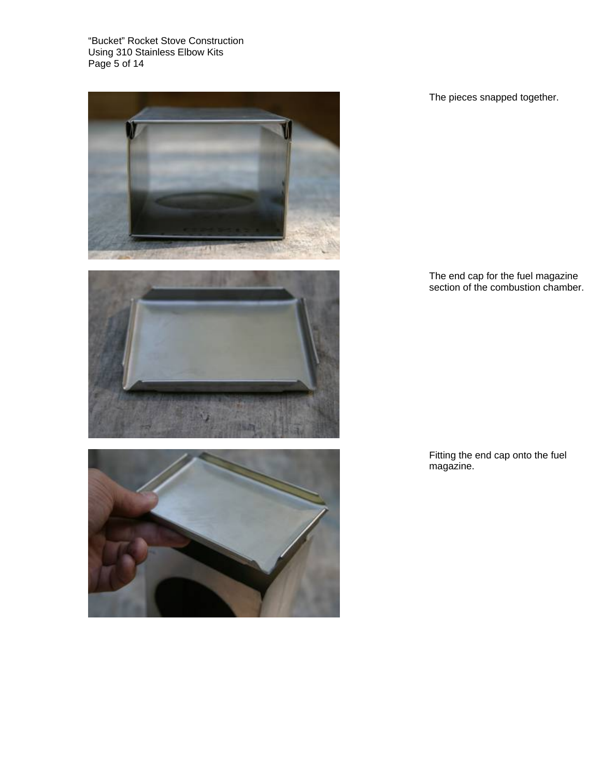"Bucket" Rocket Stove Construction Using 310 Stainless Elbow Kits Page 5 of 14







The pieces snapped together.

 The end cap for the fuel magazine section of the combustion chamber.

 Fitting the end cap onto the fuel magazine.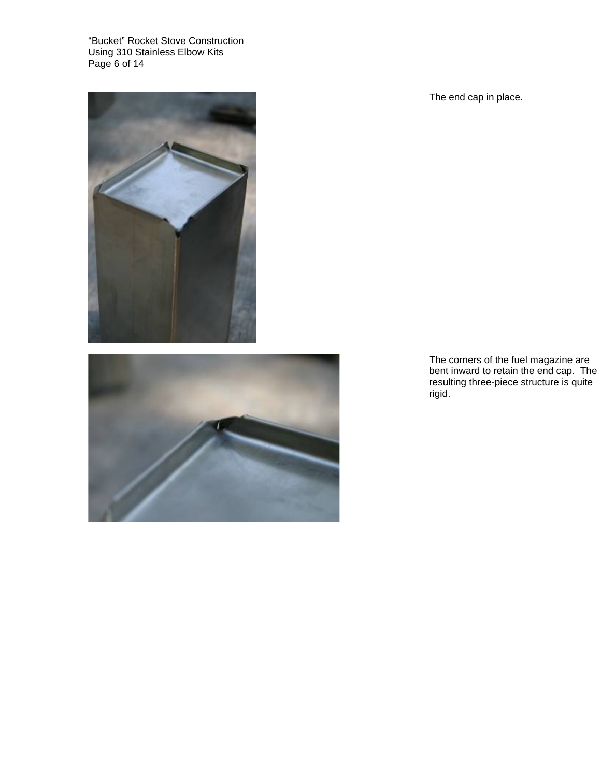"Bucket" Rocket Stove Construction Using 310 Stainless Elbow Kits Page 6 of 14





The end cap in place.

 The corners of the fuel magazine are bent inward to retain the end cap. The resulting three-piece structure is quite rigid.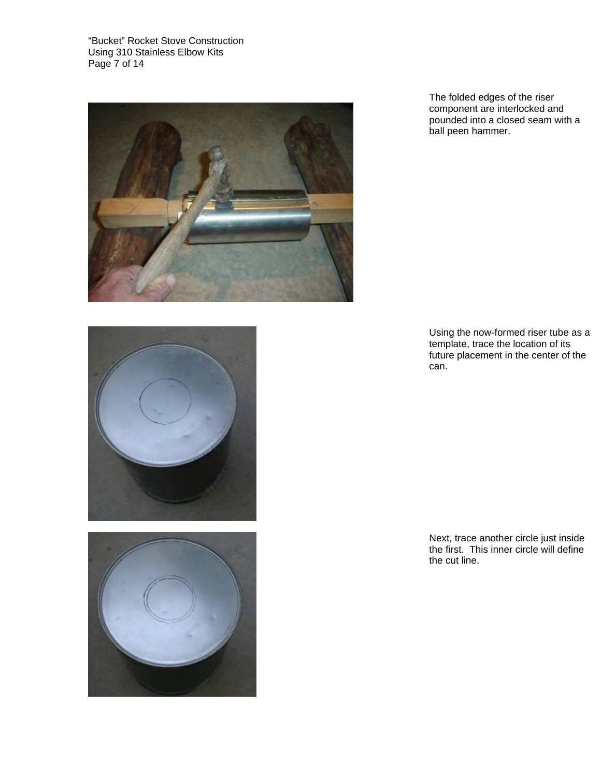"Bucket" Rocket Stove Construction Using 310 Stainless Elbow Kits Page 7 of 14



 The folded edges of the riser component are interlocked and pounded into a closed seam with a ball peen hammer.

 Using the now-formed riser tube as a template, trace the location of its future placement in the center of the can.





 Next, trace another circle just inside the first. This inner circle will define the cut line.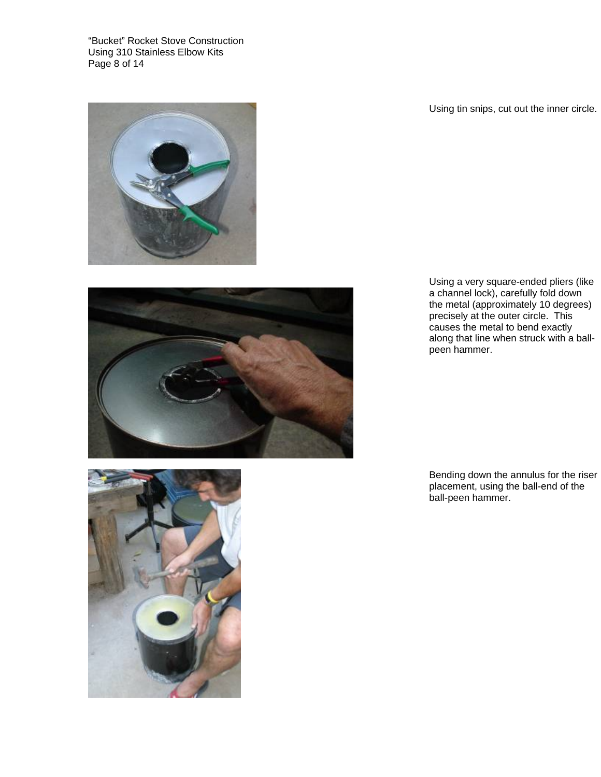"Bucket" Rocket Stove Construction Using 310 Stainless Elbow Kits Page 8 of 14



Using tin snips, cut out the inner circle.

 Using a very square-ended pliers (like a channel lock), carefully fold down the metal (approximately 10 degrees) precisely at the outer circle. This causes the metal to bend exactly along that line when struck with a ballpeen hammer.

 Bending down the annulus for the riser placement, using the ball-end of the ball-peen hammer.

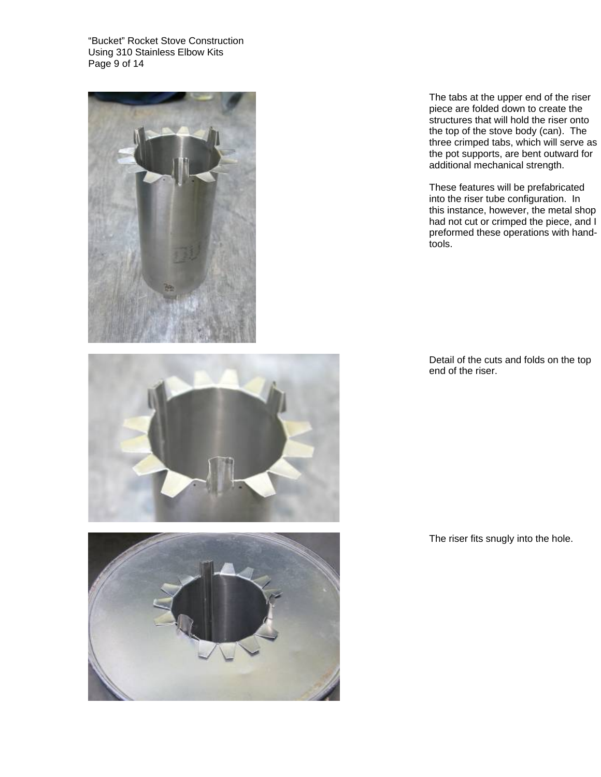"Bucket" Rocket Stove Construction Using 310 Stainless Elbow Kits Page 9 of 14







 The tabs at the upper end of the riser piece are folded down to create the structures that will hold the riser onto the top of the stove body (can). The three crimped tabs, which will serve as the pot supports, are bent outward for additional mechanical strength.

These features will be prefabricated into the riser tube configuration. In this instance, however, the metal shop had not cut or crimped the piece, and I preformed these operations with handtools.

 Detail of the cuts and folds on the top end of the riser.

The riser fits snugly into the hole.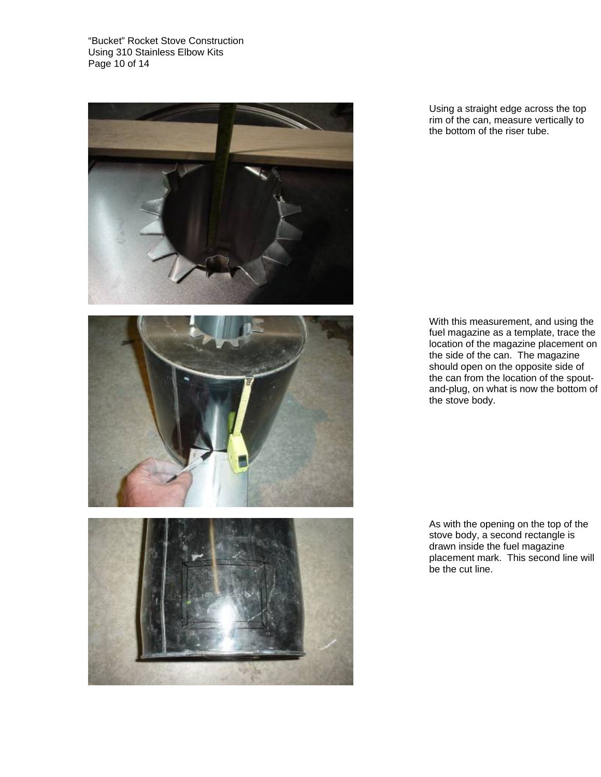"Bucket" Rocket Stove Construction Using 310 Stainless Elbow Kits Page 10 of 14







 Using a straight edge across the top rim of the can, measure vertically to the bottom of the riser tube.

 With this measurement, and using the fuel magazine as a template, trace the location of the magazine placement on the side of the can. The magazine should open on the opposite side of the can from the location of the spoutand-plug, on what is now the bottom of the stove body.

 As with the opening on the top of the stove body, a second rectangle is drawn inside the fuel magazine placement mark. This second line will be the cut line.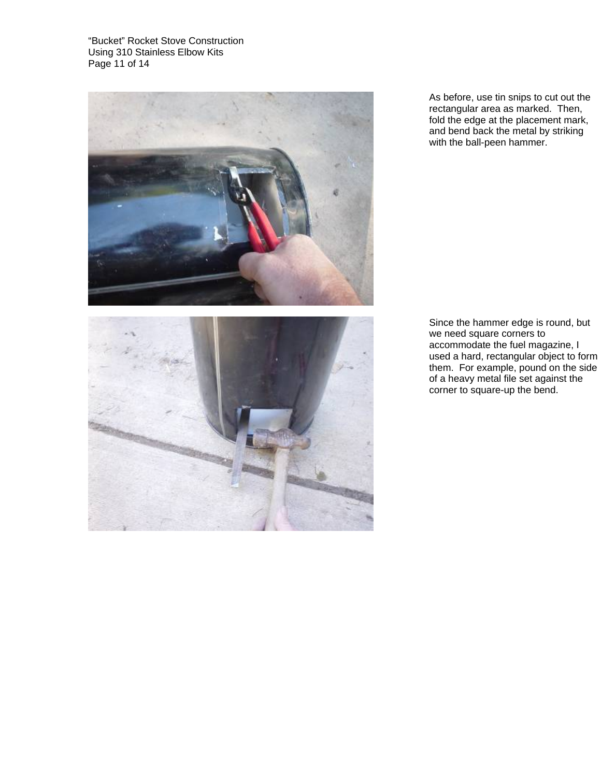"Bucket" Rocket Stove Construction Using 310 Stainless Elbow Kits Page 11 of 14



 As before, use tin snips to cut out the rectangular area as marked. Then, fold the edge at the placement mark, and bend back the metal by striking with the ball-peen hammer.



 Since the hammer edge is round, but we need square corners to accommodate the fuel magazine, I used a hard, rectangular object to form them. For example, pound on the side of a heavy metal file set against the corner to square-up the bend.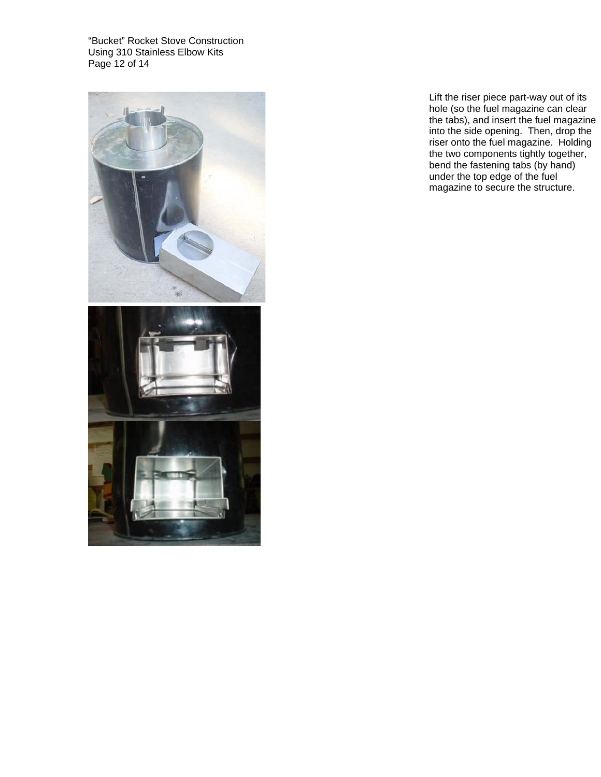"Bucket" Rocket Stove Construction Using 310 Stainless Elbow Kits Page 12 of 14





Lift the riser piece part-way out of its hole (so the fuel magazine can clear the tabs), and insert the fuel magazine into the side opening. Then, drop the riser onto the fuel magazine. Holding the two components tightly together, bend the fastening tabs (by hand) under the top edge of the fuel magazine to secure the structure.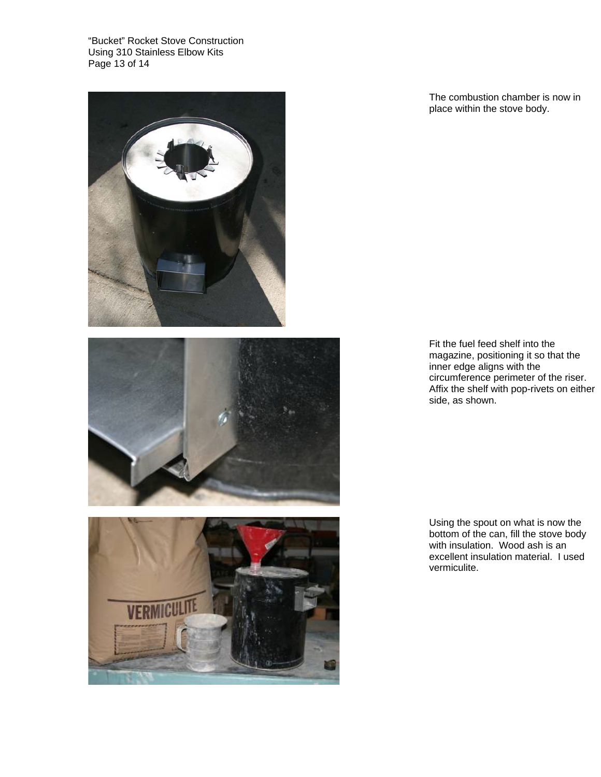"Bucket" Rocket Stove Construction Using 310 Stainless Elbow Kits Page 13 of 14







 The combustion chamber is now in place within the stove body.

 Fit the fuel feed shelf into the magazine, positioning it so that the inner edge aligns with the circumference perimeter of the riser. Affix the shelf with pop-rivets on either side, as shown.

 Using the spout on what is now the bottom of the can, fill the stove body with insulation. Wood ash is an excellent insulation material. I used vermiculite.